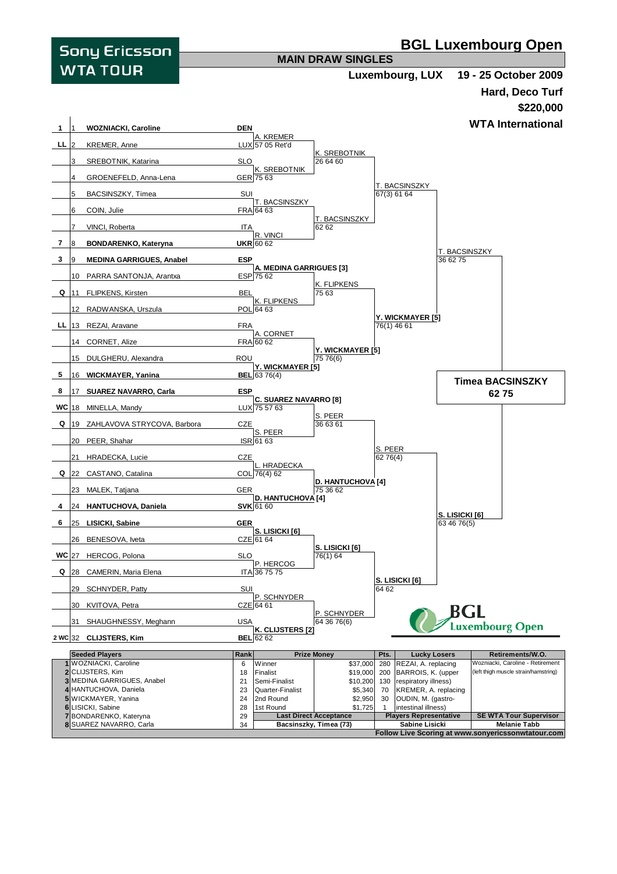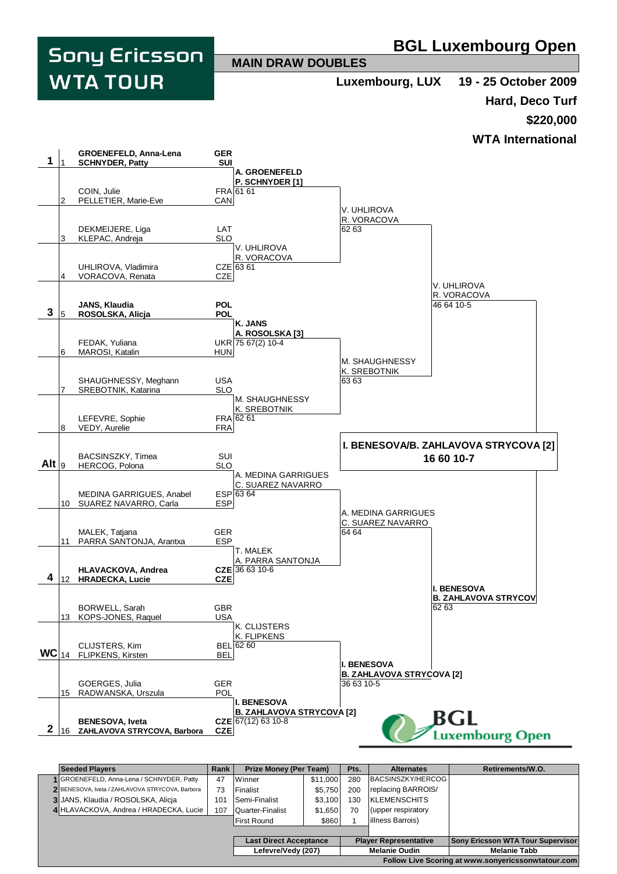

|                                                    | <b>Seeded Players</b>                           | <b>Rank</b> | <b>Prize Money (Per Team)</b> |          | Pts.                         | <b>Alternates</b>        | Retirements/W.O.                         |
|----------------------------------------------------|-------------------------------------------------|-------------|-------------------------------|----------|------------------------------|--------------------------|------------------------------------------|
|                                                    | 1 GROENEFELD, Anna-Lena / SCHNYDER, Patty       | 47          | Winner                        | \$11,000 | 280                          | BACSINSZKY/HERCOG        |                                          |
|                                                    | 2 BENESOVA, Iveta / ZAHLAVOVA STRYCOVA, Barbora | 73          | Finalist                      | \$5,750  | 200                          | replacing BARROIS/       |                                          |
|                                                    | 3 JANS, Klaudia / ROSOLSKA, Alicja              | 101         | Semi-Finalist                 | \$3,100  | 130                          | <b>IKLEMENSCHITS</b>     |                                          |
|                                                    | 4 HLAVACKOVA, Andrea / HRADECKA, Lucie          | 107         | <b>Quarter-Finalist</b>       | \$1,650  | 70                           | (upper respiratory       |                                          |
|                                                    |                                                 |             | <b>First Round</b>            | \$860    |                              | <b>illness Barrois</b> ) |                                          |
|                                                    |                                                 |             |                               |          |                              |                          |                                          |
|                                                    |                                                 |             | <b>Last Direct Acceptance</b> |          | <b>Player Representative</b> |                          | <b>Sony Ericsson WTA Tour Supervisor</b> |
|                                                    |                                                 |             | Lefevre/Vedy (207)            |          | <b>Melanie Oudin</b>         |                          | <b>Melanie Tabb</b>                      |
| Follow Live Scoring at www.sonyericssonwtatour.com |                                                 |             |                               |          |                              |                          |                                          |